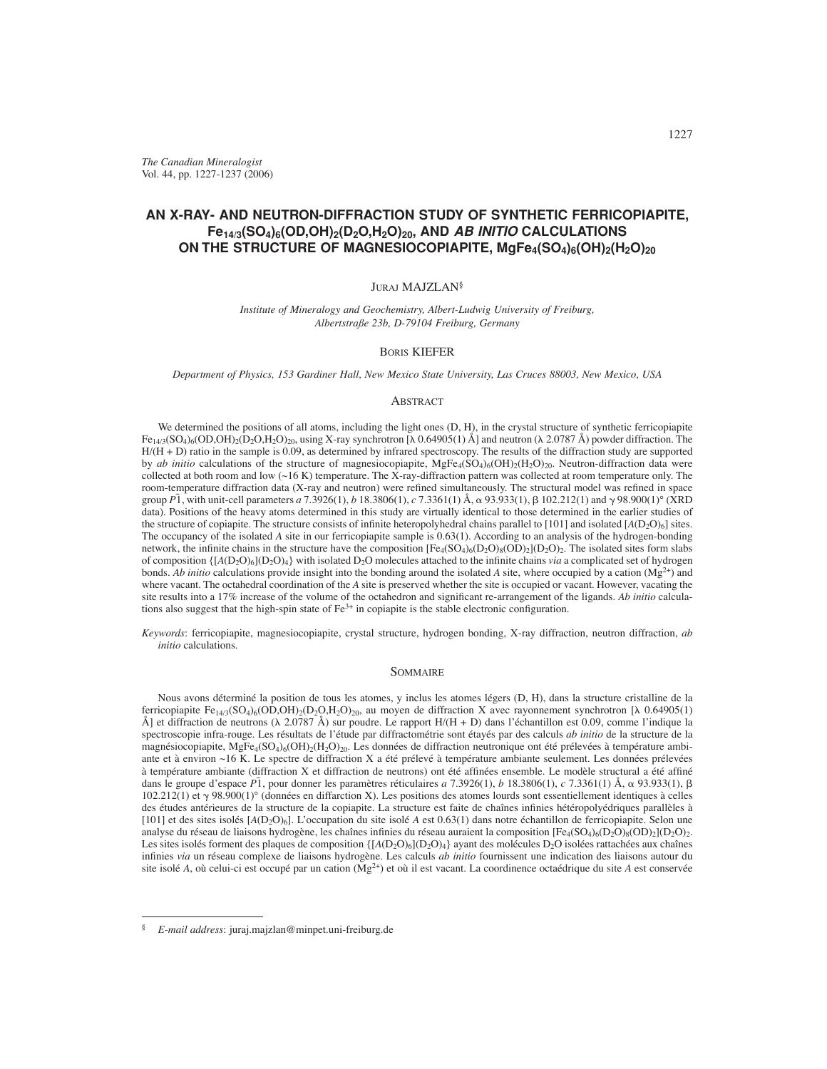*The Canadian Mineralogist* Vol. 44, pp. 1227-1237 (2006)

# **AN X-RAY- AND NEUTRON-DIFFRACTION STUDY OF SYNTHETIC FERRICOPIAPITE, Fe14/3(SO4)6(OD,OH)2(D2O,H2O)20, AND** *AB INITIO* **CALCULATIONS ON THE STRUCTURE OF MAGNESIOCOPIAPITE, MgFe4(SO4)6(OH)2(H2O)20**

## JURAJ MAJZLAN§

*Institute of Mineralogy and Geochemistry, Albert-Ludwig University of Freiburg, Albertstraße 23b, D-79104 Freiburg, Germany*

## BORIS KIEFER

*Department of Physics, 153 Gardiner Hall, New Mexico State University, Las Cruces 88003, New Mexico, USA*

#### **ABSTRACT**

We determined the positions of all atoms, including the light ones  $(D, H)$ , in the crystal structure of synthetic ferricopiapite  $Fe_{14/3}(SO_4)_6(OD,OH)_2(D_2O,H_2O)_{20}$ , using X-ray synchrotron [ $\lambda$  0.64905(1) Å] and neutron ( $\lambda$  2.0787 Å) powder diffraction. The  $H/(H+D)$  ratio in the sample is 0.09, as determined by infrared spectroscopy. The results of the diffraction study are supported by *ab initio* calculations of the structure of magnesiocopiapite,  $MgFe_4(SO_4)_6(OH)_2(H_2O)_{20}$ . Neutron-diffraction data were collected at both room and low  $($   $\sim$  16 K) temperature. The X-ray-diffraction pattern was collected at room temperature only. The room-temperature diffraction data (X-ray and neutron) were refined simultaneously. The structural model was refined in space group *P*¯ 1, with unit-cell parameters *a* 7.3926(1), *b* 18.3806(1), *c* 7.3361(1) Å, - 93.933(1), 102.212(1) and 98.900(1)° (XRD data). Positions of the heavy atoms determined in this study are virtually identical to those determined in the earlier studies of the structure of copiapite. The structure consists of infinite heteropolyhedral chains parallel to  $[101]$  and isolated  $[A(D<sub>2</sub>O)<sub>6</sub>]$  sites. The occupancy of the isolated *A* site in our ferricopiapite sample is 0.63(1). According to an analysis of the hydrogen-bonding network, the infinite chains in the structure have the composition  $[Fe_4(SO_4)_6(D_2O)_8(D_2)](D_2O)_2$ . The isolated sites form slabs of composition  $\{[A(D_2O)_6](D_2O)_4\}$  with isolated D<sub>2</sub>O molecules attached to the infinite chains *via* a complicated set of hydrogen bonds. *Ab initio* calculations provide insight into the bonding around the isolated *A* site, where occupied by a cation (Mg<sup>2+</sup>) and where vacant. The octahedral coordination of the *A* site is preserved whether the site is occupied or vacant. However, vacating the site results into a 17% increase of the volume of the octahedron and significant re-arrangement of the ligands. Ab initio calculations also suggest that the high-spin state of  $Fe<sup>3+</sup>$  in copiapite is the stable electronic configuration.

*Keywords*: ferricopiapite, magnesiocopiapite, crystal structure, hydrogen bonding, X-ray diffraction, neutron diffraction, *ab initio* calculations.

#### SOMMAIRE

Nous avons déterminé la position de tous les atomes, y inclus les atomes légers (D, H), dans la structure cristalline de la ferricopiapite  $Fe_{14/3}(SO_4)_6(OD,OH)_2(D_2O,H_2O)_{20}$ , au moyen de diffraction X avec rayonnement synchrotron [ $\lambda$  0.64905(1) Å] et diffraction de neutrons ( $\lambda$  2.0787 Å) sur poudre. Le rapport H/(H + D) dans l'échantillon est 0.09, comme l'indique la spectroscopie infra-rouge. Les résultats de l'étude par diffractométrie sont étayés par des calculs *ab initio* de la structure de la magnésiocopiapite, MgFe<sub>4</sub>(SO<sub>4</sub>)<sub>6</sub>(OH)<sub>2</sub>(H<sub>2</sub>O)<sub>20</sub>. Les données de diffraction neutronique ont été prélevées à température ambiante et à environ ~16 K. Le spectre de diffraction X a été prélevé à température ambiante seulement. Les données prélevées à température ambiante (diffraction X et diffraction de neutrons) ont été affinées ensemble. Le modèle structural a été affiné dans le groupe d'espace *P*1, pour donner les paramètres réticulaires *a* 7.3926(1), *b* 18.3806(1), *c* 7.3361(1) Å, α 93.933(1), β  $102.212(1)$  et  $\gamma$  98.900(1)° (données en diffarction X). Les positions des atomes lourds sont essentiellement identiques à celles des études antérieures de la structure de la copiapite. La structure est faite de chaînes infinies hétéropolyédriques parallèles à [101] et des sites isolés [*A*(D2O)6]. L'occupation du site isolé *A* est 0.63(1) dans notre échantillon de ferricopiapite. Selon une analyse du réseau de liaisons hydrogène, les chaînes infinies du réseau auraient la composition  $[Fe_4(SO_4)(D_2O)_8(D_2O)_2]$ . Les sites isolés forment des plaques de composition  $\{A(D_2O)_6|(D_2O)_4\}$  ayant des molécules  $D_2O$  isolées rattachées aux chaînes infinies *via* un réseau complexe de liaisons hydrogène. Les calculs *ab initio* fournissent une indication des liaisons autour du site isolé *A*, où celui-ci est occupé par un cation ( $Mg^{2+}$ ) et où il est vacant. La coordinence octaédrique du site *A* est conservée

<sup>§</sup> *E-mail address*: juraj.majzlan@minpet.uni-freiburg.de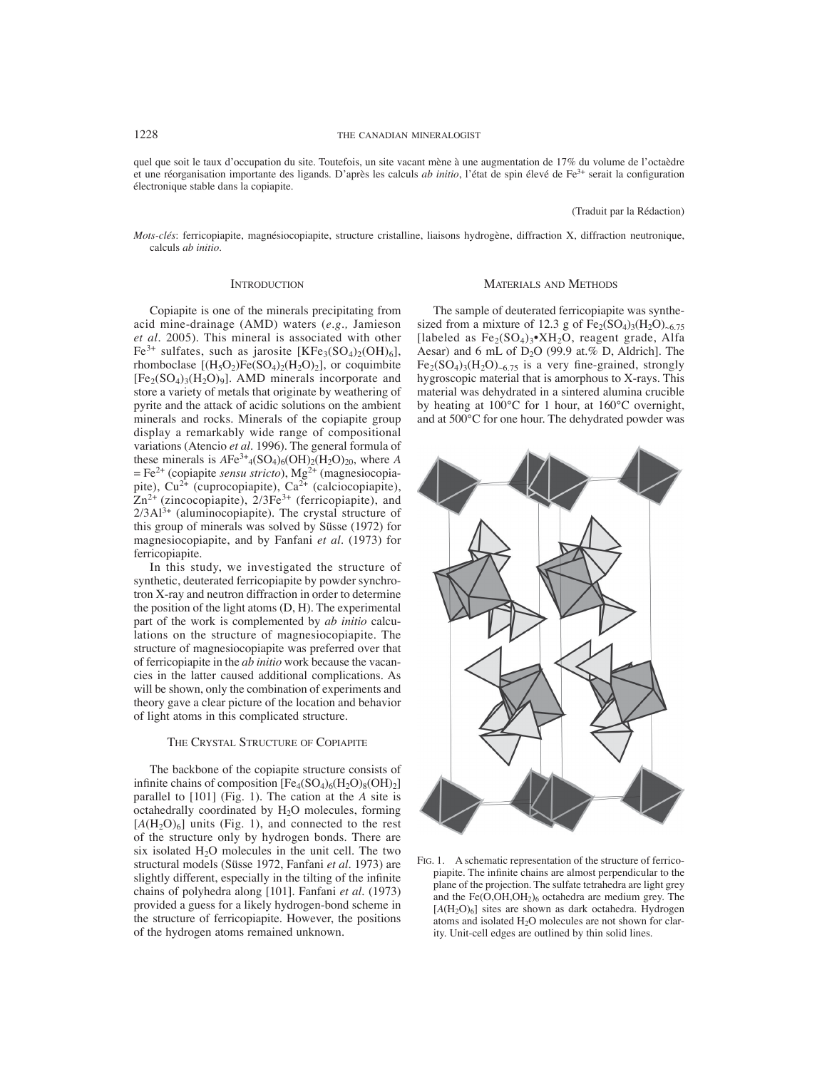quel que soit le taux d'occupation du site. Toutefois, un site vacant mène à une augmentation de 17% du volume de l'octaèdre et une réorganisation importante des ligands. D'après les calculs *ab initio*, l'état de spin élevé de Fe<sup>3+</sup> serait la configuration électronique stable dans la copiapite.

## (Traduit par la Rédaction)

*Mots-clés*: ferricopiapite, magnésiocopiapite, structure cristalline, liaisons hydrogène, diffraction X, diffraction neutronique, calculs *ab initio*.

## **INTRODUCTION**

Copiapite is one of the minerals precipitating from acid mine-drainage (AMD) waters (*e.g.,* Jamieson *et al.* 2005). This mineral is associated with other  $Fe^{3+}$  sulfates, such as jarosite  $[KFe<sub>3</sub>(SO<sub>4</sub>)<sub>2</sub>(OH)<sub>6</sub>],$ rhomboclase  $[(H_5O_2)Fe(SO_4)_2(H_2O)_2]$ , or coquimbite  $[Fe<sub>2</sub>(SO<sub>4</sub>)<sub>3</sub>(H<sub>2</sub>O)<sub>9</sub>]$ . AMD minerals incorporate and store a variety of metals that originate by weathering of pyrite and the attack of acidic solutions on the ambient minerals and rocks. Minerals of the copiapite group display a remarkably wide range of compositional variations (Atencio *et al.* 1996). The general formula of these minerals is  $AFe^{3+}$ <sub>4</sub>(SO<sub>4</sub>)<sub>6</sub>(OH)<sub>2</sub>(H<sub>2</sub>O)<sub>20</sub>, where *A*  $=$  Fe<sup>2+</sup> (copiapite *sensu stricto*), Mg<sup>2+</sup> (magnesiocopiapite),  $Cu^{2+}$  (cuprocopiapite),  $Ca^{2+}$  (calciocopiapite),  $Zn^{2+}$  (zincocopiapite),  $2/3Fe^{3+}$  (ferricopiapite), and  $2/3$ Al<sup>3+</sup> (aluminocopiapite). The crystal structure of this group of minerals was solved by Süsse (1972) for magnesiocopiapite, and by Fanfani *et al.* (1973) for ferricopiapite.

In this study, we investigated the structure of synthetic, deuterated ferricopiapite by powder synchrotron X-ray and neutron diffraction in order to determine the position of the light atoms (D, H). The experimental part of the work is complemented by *ab initio* calculations on the structure of magnesiocopiapite. The structure of magnesiocopiapite was preferred over that of ferricopiapite in the *ab initio* work because the vacancies in the latter caused additional complications. As will be shown, only the combination of experiments and theory gave a clear picture of the location and behavior of light atoms in this complicated structure.

## THE CRYSTAL STRUCTURE OF COPIAPITE

The backbone of the copiapite structure consists of infinite chains of composition  $[Fe_4(SO_4)_6(H_2O)_8(OH)_2]$ parallel to [101] (Fig. 1). The cation at the *A* site is octahedrally coordinated by H2O molecules, forming  $[A(H_2O)_6]$  units (Fig. 1), and connected to the rest of the structure only by hydrogen bonds. There are six isolated  $H<sub>2</sub>O$  molecules in the unit cell. The two structural models (Süsse 1972, Fanfani *et al.* 1973) are slightly different, especially in the tilting of the infinite chains of polyhedra along [101]. Fanfani *et al.* (1973) provided a guess for a likely hydrogen-bond scheme in the structure of ferricopiapite. However, the positions of the hydrogen atoms remained unknown.

#### MATERIALS AND METHODS

The sample of deuterated ferricopiapite was synthesized from a mixture of 12.3 g of  $Fe<sub>2</sub>(SO<sub>4</sub>)<sub>3</sub>(H<sub>2</sub>O)<sub>96.75</sub>$ [labeled as  $Fe<sub>2</sub>(SO<sub>4</sub>)<sub>3</sub>$ •XH<sub>2</sub>O, reagent grade, Alfa Aesar) and 6 mL of D<sub>2</sub>O (99.9 at.% D, Aldrich]. The  $Fe<sub>2</sub>(SO<sub>4</sub>)<sub>3</sub>(H<sub>2</sub>O)<sub>0.6.75</sub>$  is a very fine-grained, strongly hygroscopic material that is amorphous to X-rays. This material was dehydrated in a sintered alumina crucible by heating at 100°C for 1 hour, at 160°C overnight, and at 500°C for one hour. The dehydrated powder was



FIG. 1. A schematic representation of the structure of ferricopiapite. The infinite chains are almost perpendicular to the plane of the projection. The sulfate tetrahedra are light grey and the  $Fe(O,OH,OH<sub>2</sub>)<sub>6</sub>$  octahedra are medium grey. The  $[A(H<sub>2</sub>O)<sub>6</sub>]$  sites are shown as dark octahedra. Hydrogen atoms and isolated  $H_2O$  molecules are not shown for clarity. Unit-cell edges are outlined by thin solid lines.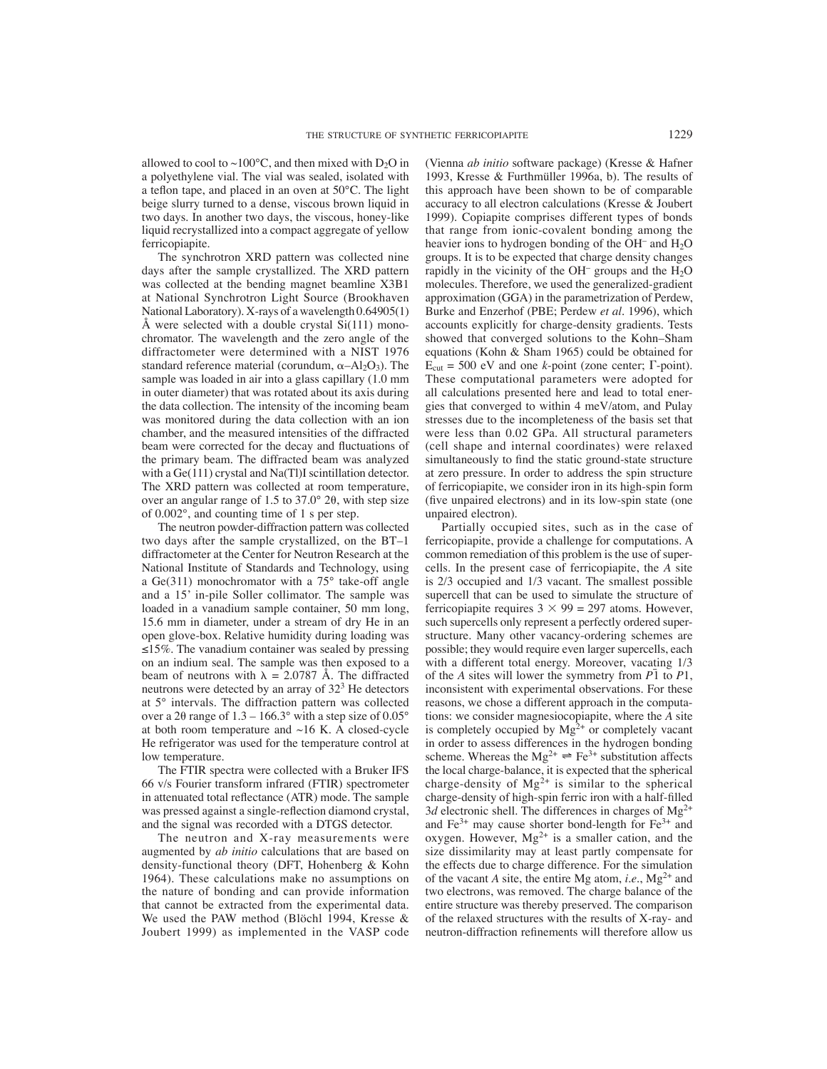allowed to cool to ~100 $^{\circ}$ C, and then mixed with D<sub>2</sub>O in a polyethylene vial. The vial was sealed, isolated with a teflon tape, and placed in an oven at  $50^{\circ}$ C. The light beige slurry turned to a dense, viscous brown liquid in two days. In another two days, the viscous, honey-like liquid recrystallized into a compact aggregate of yellow ferricopiapite.

The synchrotron XRD pattern was collected nine days after the sample crystallized. The XRD pattern was collected at the bending magnet beamline X3B1 at National Synchrotron Light Source (Brookhaven National Laboratory). X-rays of a wavelength 0.64905(1) Å were selected with a double crystal  $Si(111)$  monochromator. The wavelength and the zero angle of the diffractometer were determined with a NIST 1976 standard reference material (corundum,  $\alpha$ -Al<sub>2</sub>O<sub>3</sub>). The sample was loaded in air into a glass capillary (1.0 mm in outer diameter) that was rotated about its axis during the data collection. The intensity of the incoming beam was monitored during the data collection with an ion chamber, and the measured intensities of the diffracted beam were corrected for the decay and fluctuations of the primary beam. The diffracted beam was analyzed with a Ge(111) crystal and Na(Tl)I scintillation detector. The XRD pattern was collected at room temperature, over an angular range of 1.5 to  $37.0^{\circ}$  20, with step size of 0.002°, and counting time of 1 s per step.

The neutron powder-diffraction pattern was collected two days after the sample crystallized, on the BT–1 diffractometer at the Center for Neutron Research at the National Institute of Standards and Technology, using a Ge(311) monochromator with a 75° take-off angle and a 15' in-pile Soller collimator. The sample was loaded in a vanadium sample container, 50 mm long, 15.6 mm in diameter, under a stream of dry He in an open glove-box. Relative humidity during loading was  $\leq$ 15%. The vanadium container was sealed by pressing on an indium seal. The sample was then exposed to a beam of neutrons with  $\lambda = 2.0787$  Å. The diffracted neutrons were detected by an array of  $32<sup>3</sup>$  He detectors at 5° intervals. The diffraction pattern was collected over a 20 range of  $1.3 - 166.3^{\circ}$  with a step size of  $0.05^{\circ}$ at both room temperature and  $~16$  K. A closed-cycle He refrigerator was used for the temperature control at low temperature.

The FTIR spectra were collected with a Bruker IFS 66 v/s Fourier transform infrared (FTIR) spectrometer in attenuated total reflectance (ATR) mode. The sample was pressed against a single-reflection diamond crystal, and the signal was recorded with a DTGS detector.

The neutron and X-ray measurements were augmented by *ab initio* calculations that are based on density-functional theory (DFT, Hohenberg & Kohn 1964). These calculations make no assumptions on the nature of bonding and can provide information that cannot be extracted from the experimental data. We used the PAW method (Blöchl 1994, Kresse & Joubert 1999) as implemented in the VASP code (Vienna *ab initio* software package) (Kresse & Hafner 1993, Kresse & Furthmüller 1996a, b). The results of this approach have been shown to be of comparable accuracy to all electron calculations (Kresse & Joubert 1999). Copiapite comprises different types of bonds that range from ionic-covalent bonding among the heavier ions to hydrogen bonding of the OH– and H2O groups. It is to be expected that charge density changes rapidly in the vicinity of the OH<sup>-</sup> groups and the  $H_2O$ molecules. Therefore, we used the generalized-gradient approximation (GGA) in the parametrization of Perdew, Burke and Enzerhof (PBE; Perdew *et al.* 1996), which accounts explicitly for charge-density gradients. Tests showed that converged solutions to the Kohn–Sham equations (Kohn & Sham 1965) could be obtained for  $E_{\text{cut}} = 500$  eV and one *k*-point (zone center;  $\Gamma$ -point). These computational parameters were adopted for all calculations presented here and lead to total energies that converged to within 4 meV/atom, and Pulay stresses due to the incompleteness of the basis set that were less than 0.02 GPa. All structural parameters (cell shape and internal coordinates) were relaxed simultaneously to find the static ground-state structure at zero pressure. In order to address the spin structure of ferricopiapite, we consider iron in its high-spin form (five unpaired electrons) and in its low-spin state (one unpaired electron).

Partially occupied sites, such as in the case of ferricopiapite, provide a challenge for computations. A common remediation of this problem is the use of supercells. In the present case of ferricopiapite, the *A* site is 2/3 occupied and 1/3 vacant. The smallest possible supercell that can be used to simulate the structure of ferricopiapite requires  $3 \times 99 = 297$  atoms. However, such supercells only represent a perfectly ordered superstructure. Many other vacancy-ordering schemes are possible; they would require even larger supercells, each with a different total energy. Moreover, vacating 1/3 of the *A* sites will lower the symmetry from  $P\bar{1}$  to  $P1$ , inconsistent with experimental observations. For these reasons, we chose a different approach in the computations: we consider magnesiocopiapite, where the *A* site is completely occupied by  $Mg^{2+}$  or completely vacant in order to assess differences in the hydrogen bonding scheme. Whereas the  $Mg^{2+} \rightleftharpoons Fe^{3+}$  substitution affects the local charge-balance, it is expected that the spherical charge-density of  $Mg^{2+}$  is similar to the spherical charge-density of high-spin ferric iron with a half-filled 3*d* electronic shell. The differences in charges of  $Mg^{2+}$ and  $Fe^{3+}$  may cause shorter bond-length for  $Fe^{3+}$  and oxygen. However,  $Mg^{2+}$  is a smaller cation, and the size dissimilarity may at least partly compensate for the effects due to charge difference. For the simulation of the vacant *A* site, the entire Mg atom, *i.e.*,  $Mg^{2+}$  and two electrons, was removed. The charge balance of the entire structure was thereby preserved. The comparison of the relaxed structures with the results of X-ray- and neutron-diffraction refinements will therefore allow us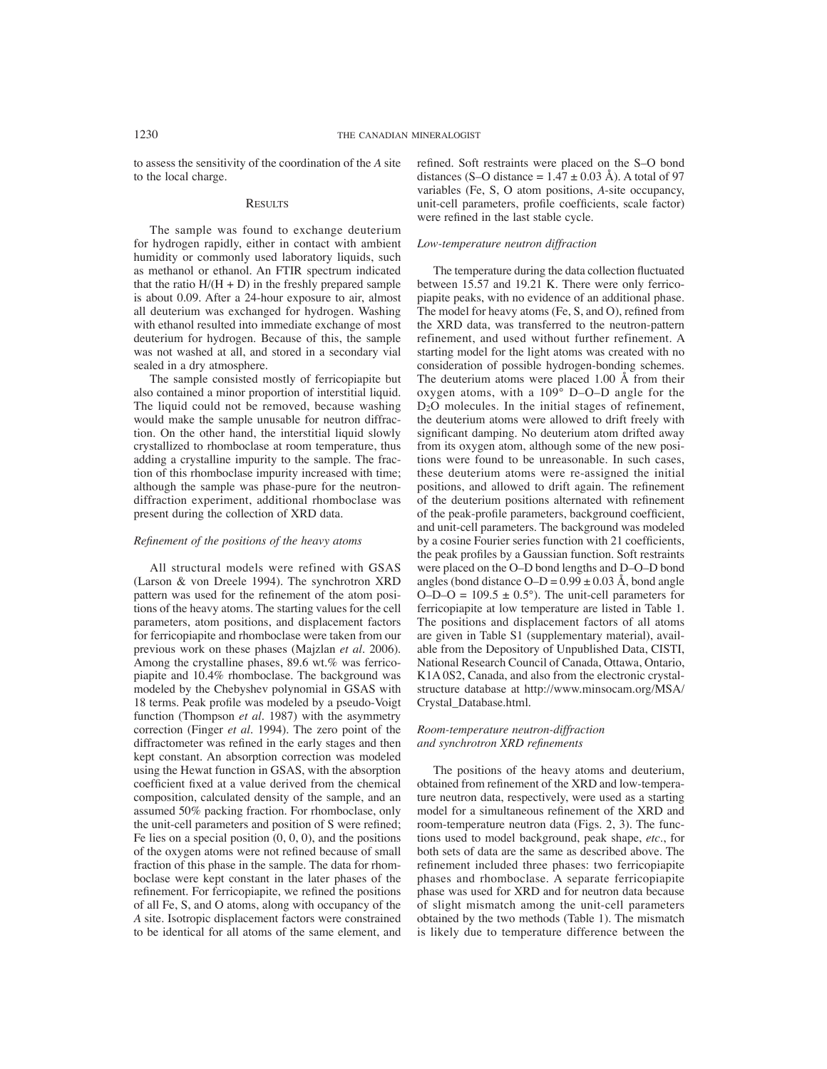to assess the sensitivity of the coordination of the *A* site to the local charge.

## **RESULTS**

The sample was found to exchange deuterium for hydrogen rapidly, either in contact with ambient humidity or commonly used laboratory liquids, such as methanol or ethanol. An FTIR spectrum indicated that the ratio  $H/(H + D)$  in the freshly prepared sample is about 0.09. After a 24-hour exposure to air, almost all deuterium was exchanged for hydrogen. Washing with ethanol resulted into immediate exchange of most deuterium for hydrogen. Because of this, the sample was not washed at all, and stored in a secondary vial sealed in a dry atmosphere.

The sample consisted mostly of ferricopiapite but also contained a minor proportion of interstitial liquid. The liquid could not be removed, because washing would make the sample unusable for neutron diffraction. On the other hand, the interstitial liquid slowly crystallized to rhomboclase at room temperature, thus adding a crystalline impurity to the sample. The fraction of this rhomboclase impurity increased with time; although the sample was phase-pure for the neutrondiffraction experiment, additional rhomboclase was present during the collection of XRD data.

#### *Refi nement of the positions of the heavy atoms*

All structural models were refined with GSAS (Larson & von Dreele 1994). The synchrotron XRD pattern was used for the refinement of the atom positions of the heavy atoms. The starting values for the cell parameters, atom positions, and displacement factors for ferricopiapite and rhomboclase were taken from our previous work on these phases (Majzlan *et al.* 2006). Among the crystalline phases, 89.6 wt.% was ferricopiapite and 10.4% rhomboclase. The background was modeled by the Chebyshev polynomial in GSAS with 18 terms. Peak profile was modeled by a pseudo-Voigt function (Thompson *et al.* 1987) with the asymmetry correction (Finger *et al.* 1994). The zero point of the diffractometer was refined in the early stages and then kept constant. An absorption correction was modeled using the Hewat function in GSAS, with the absorption coefficient fixed at a value derived from the chemical composition, calculated density of the sample, and an assumed 50% packing fraction. For rhomboclase, only the unit-cell parameters and position of S were refined; Fe lies on a special position  $(0, 0, 0)$ , and the positions of the oxygen atoms were not refined because of small fraction of this phase in the sample. The data for rhomboclase were kept constant in the later phases of the refinement. For ferricopiapite, we refined the positions of all Fe, S, and O atoms, along with occupancy of the *A* site. Isotropic displacement factors were constrained to be identical for all atoms of the same element, and

refined. Soft restraints were placed on the S–O bond distances (S–O distance =  $1.\hat{47} \pm 0.03 \text{ Å}$ ). A total of 97 variables (Fe, S, O atom positions, *A*-site occupancy, unit-cell parameters, profile coefficients, scale factor) were refined in the last stable cycle.

#### *Low-temperature neutron diffraction*

The temperature during the data collection fluctuated between 15.57 and 19.21 K. There were only ferricopiapite peaks, with no evidence of an additional phase. The model for heavy atoms (Fe, S, and O), refined from the XRD data, was transferred to the neutron-pattern refinement, and used without further refinement. A starting model for the light atoms was created with no consideration of possible hydrogen-bonding schemes. The deuterium atoms were placed 1.00 Å from their oxygen atoms, with a  $109^\circ$  D–O–D angle for the D<sub>2</sub>O molecules. In the initial stages of refinement, the deuterium atoms were allowed to drift freely with significant damping. No deuterium atom drifted away from its oxygen atom, although some of the new positions were found to be unreasonable. In such cases, these deuterium atoms were re-assigned the initial positions, and allowed to drift again. The refinement of the deuterium positions alternated with refinement of the peak-profile parameters, background coefficient, and unit-cell parameters. The background was modeled by a cosine Fourier series function with 21 coefficients, the peak profiles by a Gaussian function. Soft restraints were placed on the O–D bond lengths and D–O–D bond angles (bond distance  $O-D = 0.99 \pm 0.03$  Å, bond angle  $O-D-O = 109.5 \pm 0.5^{\circ}$ . The unit-cell parameters for ferricopiapite at low temperature are listed in Table 1. The positions and displacement factors of all atoms are given in Table S1 (supplementary material), available from the Depository of Unpublished Data, CISTI, National Research Council of Canada, Ottawa, Ontario, K1A 0S2, Canada, and also from the electronic crystalstructure database at http://www.minsocam.org/MSA/ Crystal\_Database.html.

## *Room-temperature neutron-diffraction and synchrotron XRD refinements*

The positions of the heavy atoms and deuterium, obtained from refinement of the XRD and low-temperature neutron data, respectively, were used as a starting model for a simultaneous refinement of the XRD and room-temperature neutron data (Figs. 2, 3). The functions used to model background, peak shape, *etc*., for both sets of data are the same as described above. The refinement included three phases: two ferricopiapite phases and rhomboclase. A separate ferricopiapite phase was used for XRD and for neutron data because of slight mismatch among the unit-cell parameters obtained by the two methods (Table 1). The mismatch is likely due to temperature difference between the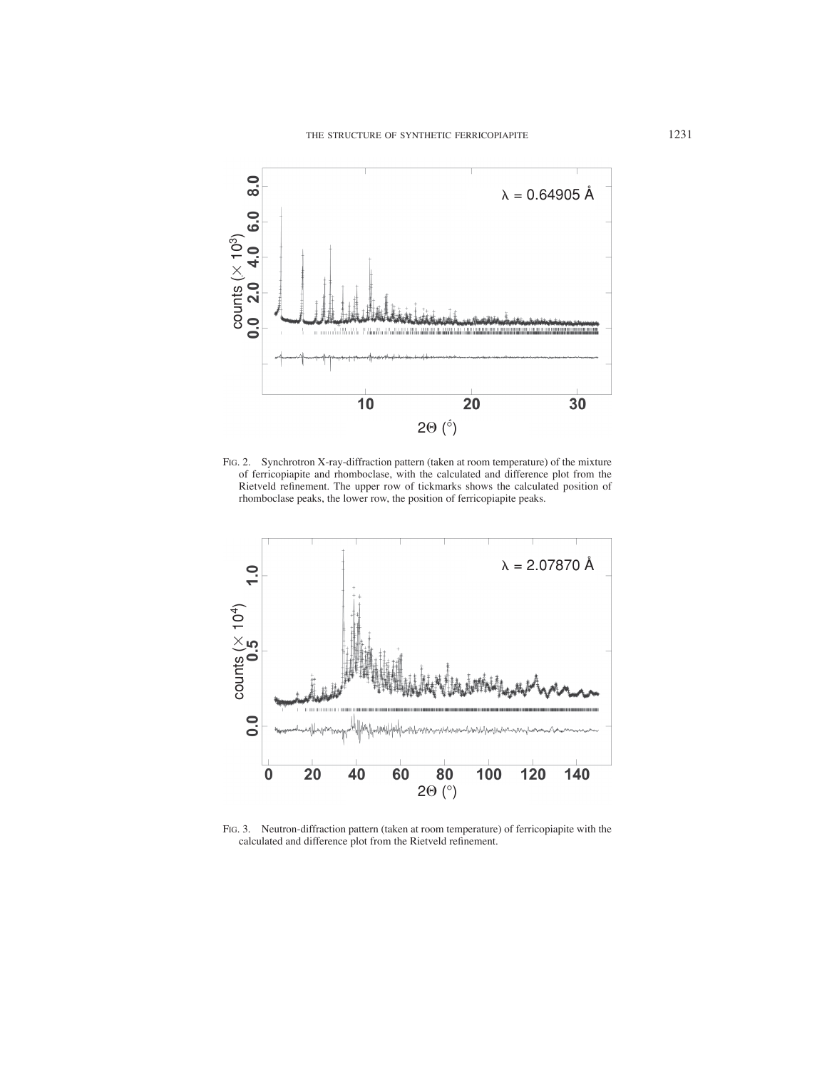

FIG. 2. Synchrotron X-ray-diffraction pattern (taken at room temperature) of the mixture of ferricopiapite and rhomboclase, with the calculated and difference plot from the Rietveld refinement. The upper row of tickmarks shows the calculated position of rhomboclase peaks, the lower row, the position of ferricopiapite peaks.



FIG. 3. Neutron-diffraction pattern (taken at room temperature) of ferricopiapite with the calculated and difference plot from the Rietveld refinement.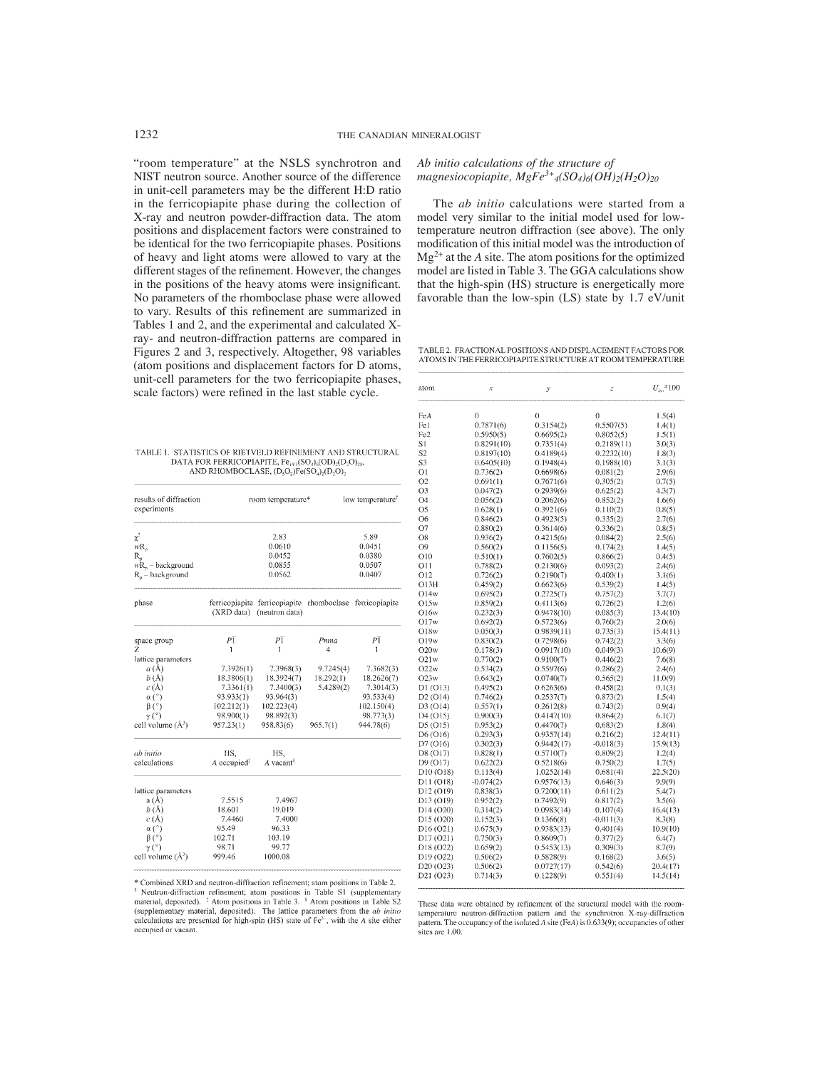"room temperature" at the NSLS synchrotron and NIST neutron source. Another source of the difference in unit-cell parameters may be the different H:D ratio in the ferricopiapite phase during the collection of X-ray and neutron powder-diffraction data. The atom positions and displacement factors were constrained to be identical for the two ferricopiapite phases. Positions of heavy and light atoms were allowed to vary at the different stages of the refinement. However, the changes in the positions of the heavy atoms were insignificant. No parameters of the rhomboclase phase were allowed to vary. Results of this refinement are summarized in Tables 1 and 2, and the experimental and calculated Xray- and neutron-diffraction patterns are compared in Figures 2 and 3, respectively. Altogether, 98 variables (atom positions and displacement factors for D atoms, unit-cell parameters for the two ferricopiapite phases, scale factors) were refined in the last stable cycle.

TABLE 1. STATISTICS OF RIETVELD REFINEMENT AND STRUCTURAL DATA FOR FERRICOPIAPITE,  $Fe_{143}(SO_4)_6(OD)_2(O_2O)_{20}$ ,<br>AND RHOMBOCLASE,  $(D_5O_2)_7Fe(SO_4)_7(D_2O)$ ,

| results of diffraction<br>experiments                                                     | room temperature*                                      |                                                                                       |           | low temperature <sup>®</sup> |  |
|-------------------------------------------------------------------------------------------|--------------------------------------------------------|---------------------------------------------------------------------------------------|-----------|------------------------------|--|
| $\chi^2$                                                                                  |                                                        | 2.83                                                                                  |           | 5.89                         |  |
| $wR_n$                                                                                    |                                                        | 0.0610                                                                                |           | 0.0451                       |  |
| $R_{n}$                                                                                   |                                                        | 0.0452                                                                                |           | 0.0380                       |  |
| $wR_n -$ background                                                                       |                                                        | 0.0855                                                                                |           | 0.0507                       |  |
| $R_n -$ background                                                                        |                                                        | 0.0562                                                                                |           | 0.0407                       |  |
| phase                                                                                     |                                                        | ferricopiapite ferricopiapite rhomboclase ferricopiapite<br>(XRD data) (neutron data) |           |                              |  |
| space group                                                                               | $P\overline{1}$                                        | $P\overline{1}$                                                                       | Pnma      | $P\overline{1}$              |  |
| Ζ                                                                                         | 1                                                      | 1                                                                                     | 4         | 1                            |  |
| lattice parameters                                                                        |                                                        |                                                                                       |           |                              |  |
| a(A)                                                                                      | 7.3926(1)                                              | 7.3968(3)                                                                             | 9.7245(4) | 7.3682(3)                    |  |
| b(A)                                                                                      | 18.3806(1)                                             | 18.3924(7)                                                                            | 18.292(1) | 18.2626(7)                   |  |
| c(A)                                                                                      | 7.3361(1)                                              | 7.3400(3)                                                                             | 5.4289(2) | 7.3014(3)                    |  |
| $\alpha$ (°)                                                                              | 93.933(1)                                              | 93.964(3)                                                                             |           | 93.533(4)                    |  |
| $\beta$ (°)                                                                               | 102.212(1)                                             | 102.223(4)                                                                            |           | 102.150(4)                   |  |
| $\gamma$ (°)                                                                              | 98.900(1)                                              | 98.892(3)                                                                             |           | 98.773(3)                    |  |
| cell volume $(A^3)$                                                                       | 957.23(1)                                              | 958.83(6)                                                                             | 965.7(1)  | 944.78(6)                    |  |
| ab initio<br>calculations                                                                 | HS,<br>$A$ occupied <sup><math>\ddagger</math></sup>   | HS.<br>A vacant®                                                                      |           |                              |  |
| lattice parameters<br>a(A)<br>b(A)<br>c(A)<br>$\alpha$ (°)<br>$\beta$ (°)<br>$\gamma$ (°) | 7.5515<br>18.601<br>7.4460<br>95.49<br>102.71<br>98.71 | 7.4967<br>19.019<br>7.4000<br>96.33<br>103.19<br>99.77                                |           |                              |  |
| cell volume $(A^3)$                                                                       | 999.46                                                 | 1000.08                                                                               |           |                              |  |

\* Combined XRD and neutron-diffraction refinement; atom positions in Table 2. Contour AND and teacher and technical contractions in Table S1 (supplementary<br>thetron-diffraction refinement; atom positions in Table S1 (supplementary<br>material, deposited). <sup>†</sup> Atom positions in Table 3. <sup>§</sup> Atom position (supplementary material, deposited). The lattice parameters from the  $ab$  initio calculations are presented for high-spin (HS) state of Fe<sup>31</sup>, with the A site either occupied or vacant.

*Ab initio calculations of the structure of magnesiocopiapite, MgFe<sup>3+</sup>4(SO<sub>4</sub>)<sub>6</sub>(OH)<sub>2</sub>(H<sub>2</sub>O)<sub>20</sub>* 

The *ab initio* calculations were started from a model very similar to the initial model used for lowtemperature neutron diffraction (see above). The only modification of this initial model was the introduction of  $Mg^{2+}$  at the *A* site. The atom positions for the optimized model are listed in Table 3. The GGA calculations show that the high-spin (HS) structure is energetically more favorable than the low-spin (LS) state by 1.7 eV/unit

TABLE 2. FRACTIONAL POSITIONS AND DISPLACEMENT FACTORS FOR ATOMS IN THE FERRICOPIAPITE STRUCTURE AT ROOM TEMPERATURE

| atom                               | x                    | у                       | $\ensuremath{\mathcal{Z}}$ | $U_{\mu a}$ * 100 |
|------------------------------------|----------------------|-------------------------|----------------------------|-------------------|
| FeA                                | 0                    | 0                       | 0                          | 1.5(4)            |
| Fel                                | 0.7871(6)            | 0.3154(2)               | 0.5507(5)                  | 1.4(1)            |
| Fe <sub>2</sub>                    | 0.5950(5)            | 0.6695(2)               | 0.8052(5)                  | 1.5(1)            |
| S1                                 | 0.8291(10)           | 0.7351(4)               | 0.2189(11)                 | 3.0(3)            |
| S2                                 | 0.8197(10)           | 0.4189(4)               | 0.2232(10)                 | 1.8(3)            |
| S3                                 | 0.6405(10)           | 0.1948(4)               | 0.1988(10)                 | 3.1(3)            |
| 01                                 | 0.736(2)             | 0.6698(6)               | 0.081(2)                   | 2.9(6)            |
| O2                                 | 0.691(1)             | 0.7671(6)               | 0.305(2)                   | 0.7(5)            |
| O3                                 | 0.047(2)             | 0.2939(6)               | 0.625(2)                   | 4.3(7)            |
| Ο4                                 | 0.056(2)             | 0.2062(6)               | 0.852(2)                   | 1.6(6)            |
| O5                                 | 0.628(1)             | 0.3921(6)               | 0.110(2)                   | 0.8(5)            |
| О6                                 | 0.846(2)             | 0.4923(5)               | 0.335(2)                   | 2.7(6)            |
| 07                                 | 0.880(2)             | 0.3614(6)               | 0.336(2)                   | 0.8(5)            |
| O8                                 | 0.936(2)             | 0.4215(6)               | 0.084(2)                   | 2.5(6)            |
| О9                                 | 0.560(2)             | 0.1156(5)               | 0.174(2)                   | 1.4(5)            |
| О10                                |                      |                         |                            |                   |
| 011                                | 0.510(1)<br>0.788(2) | 0.7602(5)<br>0.2130(6)  | 0.866(2)                   | 0.4(5)            |
| 012                                | 0.726(2)             | 0.2190(7)               | 0.093(2)<br>0.400(1)       | 2.4(6)<br>3.1(6)  |
| O13H                               | 0.459(2)             | 0.6623(6)               | 0.539(2)                   | 1.4(5)            |
| O14w                               | 0.695(2)             | 0.2725(7)               | 0.757(2)                   | 3.7(7)            |
| O15w                               | 0.859(2)             | 0.4113(6)               | 0.726(2)                   | 1.2(6)            |
| O16w                               | 0.232(3)             |                         | 0.085(3)                   | 13.4(10)          |
| O17w                               | 0.692(2)             | 0.9478(10)<br>0.5723(6) | 0.760(2)                   | 2.0(6)            |
| O18w                               | 0.050(3)             | 0.9839(11)              | 0.735(3)                   | 15.4(11)          |
| O19w                               | 0.830(2)             | 0.7298(6)               | 0.742(2)                   | 3.3(6)            |
| O20w                               | 0.178(3)             | 0.0917(10)              | 0.049(3)                   | 10.6(9)           |
| O21w                               | 0.770(2)             | 0.9100(7)               | 0.446(2)                   | 7.6(8)            |
| O22w                               | 0.534(2)             | 0.5597(6)               | 0.286(2)                   | 2.4(6)            |
| O23w                               | 0.643(2)             | 0.0740(7)               | 0.565(2)                   | 11.0(9)           |
| D1 (O13)                           | 0.495(2)             | 0.6263(6)               | 0.458(2)                   | 0.1(3)            |
| D2 (O14)                           | 0.746(2)             | 0.2537(7)               | 0.873(2)                   | 1.5(4)            |
| D3 (O14)                           | 0.557(1)             | 0.2612(8)               | 0.743(2)                   | 0.9(4)            |
| D4 (O15)                           | 0.900(3)             | 0.4147(10)              | 0.864(2)                   | 6.1(7)            |
| D5 (O15)                           | 0.953(2)             | 0.4470(7)               | 0.683(2)                   | 1.8(4)            |
| D6 (O16)                           | 0.293(3)             | 0.9357(14)              | 0.216(2)                   | 12.4(11)          |
| D7 (O16)                           | 0.302(3)             | 0.9442(17)              | $-0.018(3)$                | 15.9(13)          |
| D8 (O17)                           | 0.828(1)             | 0.5710(7)               | 0.809(2)                   | 1.2(4)            |
| D9 (O17)                           | 0.622(2)             | 0.5218(6)               | 0.750(2)                   | 1.7(5)            |
| D <sub>10</sub> (O <sub>18</sub> ) | 0.113(4)             | 1.0252(14)              | 0.681(4)                   | 22.5(20)          |
| D11 (O18)                          | $-0.074(2)$          | 0.9576(13)              | 0.646(3)                   | 9.9(9)            |
| D12 (O19)                          | 0.838(3)             | 0.7200(11)              | 0.611(2)                   | 5.4(7)            |
| D13 (O19)                          | 0.952(2)             | 0.7492(9)               | 0.817(2)                   | 3.5(6)            |
| D14 (O20)                          | 0.314(2)             | 0.0983(14)              | 0.107(4)                   | 16.4(13)          |
| D15 (O20)                          | 0.152(3)             | 0.1366(8)               | -0.011(3)                  | 8.3(8)            |
| D16 (O21)                          | 0.675(3)             | 0.9383(13)              | 0.401(4)                   | 10.9(10)          |
| D17 (O21)                          | 0.750(3)             | 0.8609(7)               | 0.377(2)                   | 6.4(7)            |
| D18 (O22)                          | 0.659(2)             | 0.5453(13)              | 0.309(3)                   | 8.7(9)            |
| D19 (O22)                          | 0.506(2)             | 0.5828(9)               | 0.168(2)                   | 3.6(5)            |
| D <sub>20</sub> (O <sub>23</sub> ) | 0.506(2)             | 0.0727(17)              | 0.542(6)                   | 20.4(17)          |
| D21 (O23)                          | 0.714(3)             | 0.1228(9)               | 0.551(4)                   | 14.5(14)          |
|                                    |                      |                         |                            |                   |

These data were obtained by refinement of the structural model with the roomtemperature neutron-diffraction pattern and the synchrotron X-ray-diffraction pattern. The occupancy of the isolated  $\Lambda$  site (FeA) is 0.633(9); occupancies of other sites are 1.00.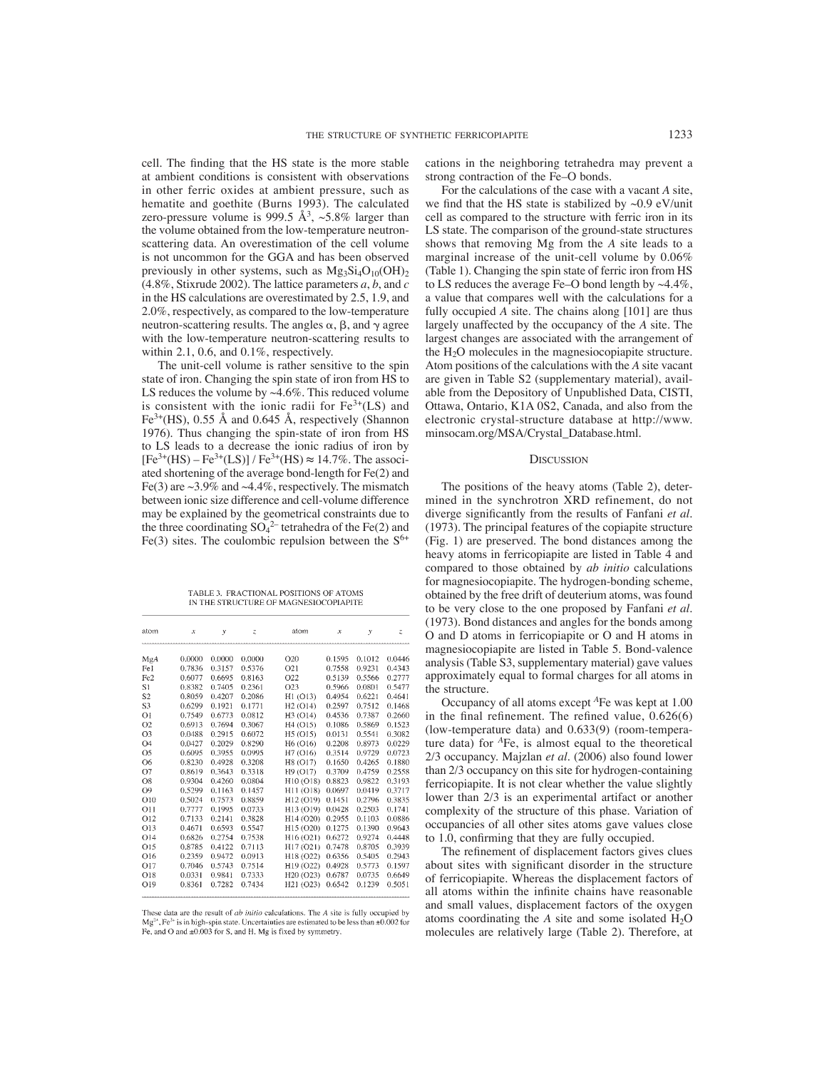cell. The finding that the HS state is the more stable at ambient conditions is consistent with observations in other ferric oxides at ambient pressure, such as hematite and goethite (Burns 1993). The calculated zero-pressure volume is 999.5  $\AA^3$ , ~5.8% larger than the volume obtained from the low-temperature neutronscattering data. An overestimation of the cell volume is not uncommon for the GGA and has been observed previously in other systems, such as  $Mg_3Si_4O_{10}(OH)_{2}$ (4.8%, Stixrude 2002). The lattice parameters *a*, *b*, and *c* in the HS calculations are overestimated by 2.5, 1.9, and 2.0%, respectively, as compared to the low-temperature neutron-scattering results. The angles  $\alpha$ ,  $\beta$ , and  $\gamma$  agree with the low-temperature neutron-scattering results to within 2.1, 0.6, and 0.1%, respectively.

The unit-cell volume is rather sensitive to the spin state of iron. Changing the spin state of iron from HS to LS reduces the volume by  $\sim$  4.6%. This reduced volume is consistent with the ionic radii for  $Fe<sup>3+</sup>(LS)$  and  $Fe<sup>3+</sup>(HS)$ , 0.55 Å and 0.645 Å, respectively (Shannon 1976). Thus changing the spin-state of iron from HS to LS leads to a decrease the ionic radius of iron by  $[Fe^{3+}(HS) - Fe^{3+}(LS)] / Fe^{3+}(HS) \approx 14.7\%$ . The associated shortening of the average bond-length for Fe(2) and Fe(3) are  $\sim$ 3.9% and  $\sim$ 4.4%, respectively. The mismatch between ionic size difference and cell-volume difference may be explained by the geometrical constraints due to the three coordinating  $SO_4^2$  tetrahedra of the Fe(2) and Fe(3) sites. The coulombic repulsion between the  $S^{6+}$ 

TABLE 3. FRACTIONAL POSITIONS OF ATOMS IN THE STRUCTURE OF MAGNESIOCOPIAPITE

| atom            | $\mathcal{X}$ | y      | $\overline{z}$ | atom                               | $\mathcal{X}$ | $\mathbf{y}$ | Z,     |
|-----------------|---------------|--------|----------------|------------------------------------|---------------|--------------|--------|
| MgA             | 0.0000        | 0.0000 | 0.0000         | O20                                | 0.1595        | 0.1012       | 0.0446 |
| Fel             | 0.7836        | 0.3157 | 0.5376         | O21                                | 0.7558        | 0.9231       | 0.4343 |
| Fe <sub>2</sub> | 0.6077        | 0.6695 | 0.8163         | O22                                | 0.5139        | 0.5566       | 0.2777 |
| S1              | 0.8382        | 0.7405 | 0.2361         | O <sub>2</sub> 3                   | 0.5966        | 0.0801       | 0.5477 |
| S <sub>2</sub>  | 0.8059        | 0.4207 | 0.2086         | H1 (O13)                           | 0.4954        | 0.6221       | 0.4641 |
| S <sub>3</sub>  | 0.6299        | 0.1921 | 0.1771         | H2(O14)                            | 0.2597        | 0.7512       | 0.1468 |
| ΟI              | 0.7549        | 0.6773 | 0.0812         | H <sub>3</sub> (O <sub>14</sub> )  | 0.4536        | 0.7387       | 0.2660 |
| O <sub>2</sub>  | 0.6913        | 0.7694 | 0.3067         | H <sub>4</sub> (O15)               | 0.1086        | 0.5869       | 0.1523 |
| O <sub>3</sub>  | 0.0488        | 0.2915 | 0.6072         | H5 (O15)                           | 0.0131        | 0.5541       | 0.3082 |
| <b>O4</b>       | 0.0427        | 0.2029 | 0.8290         | H <sub>6</sub> (O <sub>16</sub> )  | 0.2208        | 0.8973       | 0.0229 |
| Ο5              | 0.6095        | 0.3955 | 0.0995         | H7(016)                            | 0.3514        | 0.9729       | 0.0723 |
| O6              | 0.8230        | 0.4928 | 0.3208         | H8 (O17)                           | 0.1650        | 0.4265       | 0.1880 |
| Ο7              | 0.8619        | 0.3643 | 0.3318         | H9(O17)                            | 0.3709        | 0.4759       | 0.2558 |
| O8              | 0.9304        | 0.4260 | 0.0804         | H10 (O18)                          | 0.8823        | 0.9822       | 0.3193 |
| O9              | 0.5299        | 0.1163 | 0.1457         | H11 (O18)                          | 0.0697        | 0.0419       | 0.3717 |
| O10             | 0.5024        | 0.7573 | 0.8859         | H12 (O19)                          | 0.1451        | 0.2796       | 0.3835 |
| 011             | 0.7777        | 0.1995 | 0.0733         | H13 (O19)                          | 0.0428        | 0.2503       | 0.1741 |
| O12             | 0.7133        | 0.2141 | 0.3828         | H14 (O20)                          | 0.2955        | 0.1103       | 0.0886 |
| 013             | 0.4671        | 0.6593 | 0.5547         | H15 (O20)                          | 0.1275        | 0.1390       | 0.9643 |
| O <sub>14</sub> | 0.6826        | 0.2754 | 0.7538         | H16 (O21)                          | 0.6272        | 0.9274       | 0.4448 |
| 015             | 0.8785        | 0.4122 | 0.7113         | H17 (O21)                          | 0.7478        | 0.8705       | 0.3939 |
| O <sub>16</sub> | 0.2359        | 0.9472 | 0.0913         | H18 (O22)                          | 0.6356        | 0.5405       | 0.2943 |
| 017             | 0.7046        | 0.5743 | 0.7514         | H19 (O22)                          | 0.4928        | 0.5773       | 0.1597 |
| O18             | 0.0331        | 0.9841 | 0.7333         | H <sub>20</sub> (O <sub>23</sub> ) | 0.6787        | 0.0735       | 0.6649 |
| O19             | 0.8361        | 0.7282 | 0.7434         | H21 (O23)                          | 0.6542        | 0.1239       | 0.5051 |

These data are the result of *ab initio* calculations. The *A* site is fully occupied by  $Mg^{2*}$ , Fe<sup>3+</sup> is in high-spin state. Uncertainties are estimated to be less than ±0.002 for Fe, and O and ±0.003 for S, and H. Mg is fixed by symmetry.

cations in the neighboring tetrahedra may prevent a strong contraction of the Fe–O bonds.

For the calculations of the case with a vacant *A* site, we find that the HS state is stabilized by  $\sim 0.9$  eV/unit cell as compared to the structure with ferric iron in its LS state. The comparison of the ground-state structures shows that removing Mg from the *A* site leads to a marginal increase of the unit-cell volume by 0.06% (Table 1). Changing the spin state of ferric iron from HS to LS reduces the average Fe–O bond length by ~4.4%, a value that compares well with the calculations for a fully occupied *A* site. The chains along [101] are thus largely unaffected by the occupancy of the *A* site. The largest changes are associated with the arrangement of the  $H_2O$  molecules in the magnesiocopiapite structure. Atom positions of the calculations with the *A* site vacant are given in Table S2 (supplementary material), available from the Depository of Unpublished Data, CISTI, Ottawa, Ontario, K1A 0S2, Canada, and also from the electronic crystal-structure database at http://www. minsocam.org/MSA/Crystal\_Database.html.

#### **DISCUSSION**

The positions of the heavy atoms (Table 2), determined in the synchrotron XRD refinement, do not diverge significantly from the results of Fanfani et al. (1973). The principal features of the copiapite structure (Fig. 1) are preserved. The bond distances among the heavy atoms in ferricopiapite are listed in Table 4 and compared to those obtained by *ab initio* calculations for magnesiocopiapite. The hydrogen-bonding scheme, obtained by the free drift of deuterium atoms, was found to be very close to the one proposed by Fanfani *et al.* (1973). Bond distances and angles for the bonds among O and D atoms in ferricopiapite or O and H atoms in magnesiocopiapite are listed in Table 5. Bond-valence analysis (Table S3, supplementary material) gave values approximately equal to formal charges for all atoms in the structure.

Occupancy of all atoms except *A*Fe was kept at 1.00 in the final refinement. The refined value,  $0.626(6)$ (low-temperature data) and 0.633(9) (room-temperature data) for *A*Fe, is almost equal to the theoretical 2/3 occupancy. Majzlan *et al.* (2006) also found lower than 2/3 occupancy on this site for hydrogen-containing ferricopiapite. It is not clear whether the value slightly lower than 2/3 is an experimental artifact or another complexity of the structure of this phase. Variation of occupancies of all other sites atoms gave values close to  $1.\overline{0}$ , confirming that they are fully occupied.

The refinement of displacement factors gives clues about sites with significant disorder in the structure of ferricopiapite. Whereas the displacement factors of all atoms within the infinite chains have reasonable and small values, displacement factors of the oxygen atoms coordinating the  $A$  site and some isolated  $H_2O$ molecules are relatively large (Table 2). Therefore, at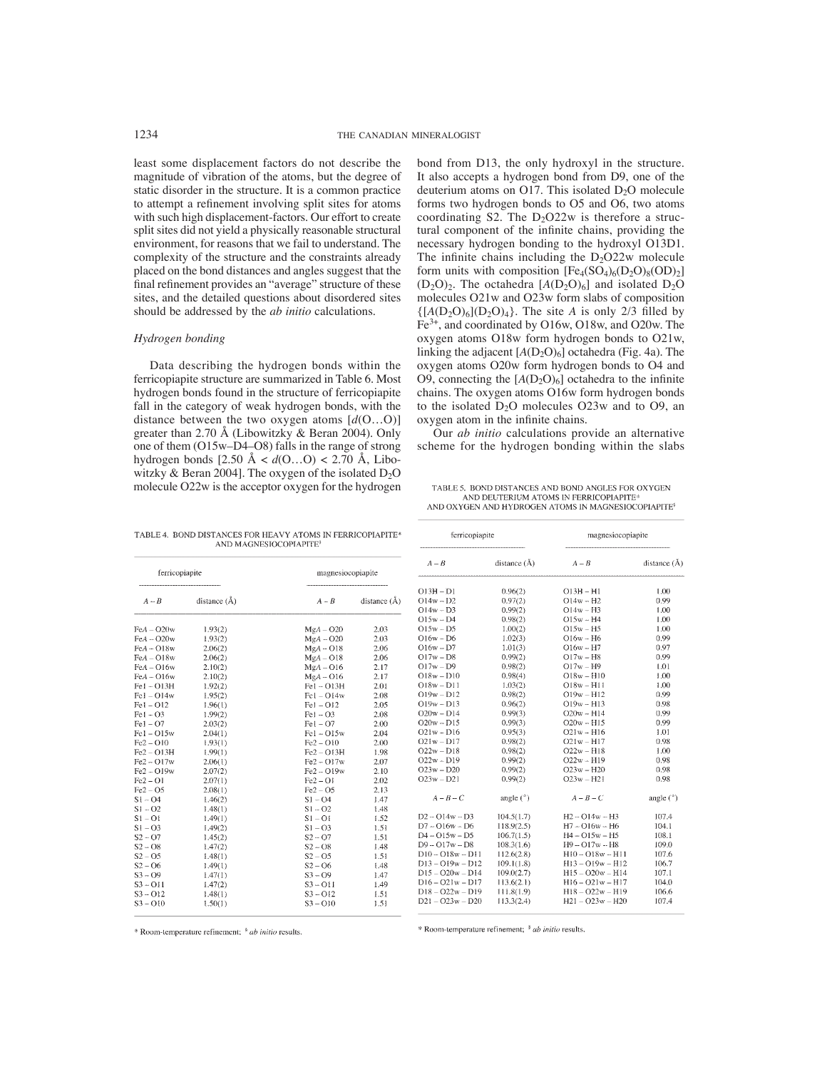least some displacement factors do not describe the magnitude of vibration of the atoms, but the degree of static disorder in the structure. It is a common practice to attempt a refinement involving split sites for atoms with such high displacement-factors. Our effort to create split sites did not yield a physically reasonable structural environment, for reasons that we fail to understand. The complexity of the structure and the constraints already placed on the bond distances and angles suggest that the final refinement provides an "average" structure of these sites, and the detailed questions about disordered sites should be addressed by the *ab initio* calculations.

## *Hydrogen bonding*

Data describing the hydrogen bonds within the ferricopiapite structure are summarized in Table 6. Most hydrogen bonds found in the structure of ferricopiapite fall in the category of weak hydrogen bonds, with the distance between the two oxygen atoms [*d*(O…O)] greater than 2.70 Å (Libowitzky & Beran 2004). Only one of them (O15w–D4–O8) falls in the range of strong hydrogen bonds [2.50 Å < *d*(O…O) < 2.70 Å, Libowitzky & Beran 2004]. The oxygen of the isolated  $D_2O$ molecule O22w is the acceptor oxygen for the hydrogen bond from D13, the only hydroxyl in the structure. It also accepts a hydrogen bond from D9, one of the deuterium atoms on O17. This isolated  $D_2O$  molecule forms two hydrogen bonds to O5 and O6, two atoms coordinating S2. The  $D_2O22w$  is therefore a structural component of the infinite chains, providing the necessary hydrogen bonding to the hydroxyl O13D1. The infinite chains including the  $D_2O22w$  molecule form units with composition  $[Fe_4(SO_4)_6(D_2O)_8(OD)_2]$  $(D_2O)_2$ . The octahedra  $[A(D_2O)_6]$  and isolated  $D_2O$ molecules O21w and O23w form slabs of composition  $\{[A(D_2O)_6](D_2O)_4\}$ . The site *A* is only 2/3 filled by Fe3+, and coordinated by O16w, O18w, and O20w. The oxygen atoms O18w form hydrogen bonds to O21w, linking the adjacent  $[A(D_2O)_6]$  octahedra (Fig. 4a). The oxygen atoms O20w form hydrogen bonds to O4 and O9, connecting the  $[A(D_2O)_6]$  octahedra to the infinite chains. The oxygen atoms O16w form hydrogen bonds to the isolated  $D_2O$  molecules  $O23w$  and to  $O9$ , an oxygen atom in the infinite chains.

Our *ab initio* calculations provide an alternative scheme for the hydrogen bonding within the slabs

TABLE 5. BOND DISTANCES AND BOND ANGLES FOR OXYGEN AND DELITERIUM ATOMS IN FERRICOPLAPITE\* AND OXYGEN AND HYDROGEN ATOMS IN MAGNESIOCOPIAPITE<sup>\$</sup>

magnesiocopiapite

ferricopiapite

| ferricopiapite |                  | magnesiocopiapite |                        | $A - B$            | distance ( |
|----------------|------------------|-------------------|------------------------|--------------------|------------|
|                |                  |                   |                        |                    |            |
|                |                  |                   |                        | $O13H - D1$        | 0.96(2)    |
| $A - B$        | distance $(\AA)$ | $A - B$           | distance $(\tilde{A})$ | $O14w - D2$        | 0.97(2)    |
|                |                  |                   |                        | $O14w - D3$        | 0.99(2)    |
|                |                  |                   |                        | $O15w - D4$        | 0.98(2)    |
| $FeA - O20w$   | 1.93(2)          | $MgA - O20$       | 2.03                   | $O15w - D5$        | 1.00(2)    |
| $FeA - O20w$   | 1,93(2)          | $MgA - O20$       | 2.03                   | $O16w - D6$        | 1.02(3)    |
| $FeA - O18w$   | 2.06(2)          | $MgA - O18$       | 2.06                   | $O16w - D7$        | 1.01(3)    |
| $FeA - O18w$   | 2.06(2)          | $MgA - O18$       | 2.06                   | $O17w - D8$        | 0.99(2)    |
| $FeA - O16w$   | 2.10(2)          | $MgA - O16$       | 2.17                   | $017w - D9$        | 0.98(2)    |
| $FeA - O16w$   | 2.10(2)          | $MgA - O16$       | 2.17                   | $O18w - D10$       | 0.98(4)    |
| $Fe1 - O13H$   | 1.92(2)          | $Fe1 - O13H$      | 2.01                   | $O18w - D11$       | 1.03(2)    |
| $Fe1 - O14w$   | 1.95(2)          | $Fe1 - O14w$      | 2.08                   | $O19w - D12$       | 0.98(2)    |
| $Fe1 - O12$    | 1.96(1)          | $FeI - OI2$       | 2.05                   | $O19w - D13$       | 0.96(2)    |
| $Fe1 - O3$     | 1.99(2)          | $[Fe] - O3$       | 2.08                   | $O20w - D14$       | 0.99(3)    |
| $Fe1 - O7$     | 2.03(2)          | $Fe I - O7$       | 2.00                   | $O20w - D15$       | 0.99(3)    |
| $Fe1 - O15w$   | 2.04(1)          | $Fe1 - O15w$      | 2.04                   | $O21w - D16$       | 0.95(3)    |
| $Fe2 - O10$    | 1,93(1)          | $Fe2 - O10$       | 2.00                   | $O21w - D17$       | 0.98(2)    |
| $Fe2 - O13H$   | 1.99(1)          | $Fe2 - O13H$      | 1.98                   | $O22w - D18$       | 0.98(2)    |
| $Fe2 - O17w$   | 2.06(1)          | $Fe2 - O17w$      | 2.07                   | $O22w - D19$       | 0.99(2)    |
| $Fe2 - O19w$   | 2.07(2)          | $Fe2 - O19w$      | 2.10                   | $O23w - D20$       | 0.99(2)    |
| $Fe2 - O1$     | 2.07(1)          | $Fe2 - O1$        | 2.02                   | $O23w - D21$       | 0.99(2)    |
| $Fe2 - O5$     | 2.08(1)          | $Fe2 - O5$        | 2.13                   |                    |            |
| $S1 - O4$      | 1.46(2)          | $S1 - O4$         | 1.47                   | $A - B - C$        | angle (°   |
| $S1 - O2$      | 1.48(1)          | $S1 - O2$         | 1.48                   |                    |            |
| $S1 - O1$      | 1.49(1)          | $S1 - O1$         | 1.52                   | $D2 - O14w - D3$   | 104.5(1.7) |
| $S1 - O3$      | 1.49(2)          | $S1 - O3$         | 1.51                   | $D7 - O16w - D6$   | 118.9(2.5  |
| $S2 - O7$      | 1.45(2)          | $S2 - O7$         | 1.51                   | $D4 - O15w - D5$   | 106.7(1.5) |
| $S2 - 08$      | 1.47(2)          | $S2 - OS$         | 1.48                   | $D9 - O17w - D8$   | 108.3(1.6) |
| $S2 - 05$      | 1.48(1)          | $S2 - O5$         | 1.51                   | $D10 - O18w - D11$ | 112.6(2.8) |

 $S2 - 06$ 

 $S_3 - Q_9$ 

 $S3 - O11$ 

 $S3 - O12$ 

 $S3 - O10$ 

1.48

 $147$ 

1.49

1.51

1.51

TABLE 4. BOND DISTANCES FOR HEAVY ATOMS IN FERRICOPIAPITE\* AND MAGNESIOCOPIAPITE

\* Room-temperature refinement; <sup>\$</sup> ab initio results.

 $113.3(2.4)$ 

 $D21 - O23w - D20$ 

| $A - B$            | distance $(\AA)$ | $A - B$                  | distance (Å) |  |
|--------------------|------------------|--------------------------|--------------|--|
| $O13H - D1$        | 0.96(2)          | $O13H - H1$              | 1.00         |  |
| $O14w - D2$        | 0.97(2)          | $O14w - H2$              | 0.99         |  |
| $O14w - D3$        | 0.99(2)          | $O14w - H3$              | 1.00         |  |
| $015w - D4$        | 0.98(2)          | $O15w - H4$              | 1.00         |  |
| $O15w - D5$        | 1.00(2)          | $O15w - H5$              | 1.00         |  |
| $O16w - D6$        | 1.02(3)          | $O16w - H6$              | 0.99         |  |
| $O16w - D7$        | 1.01(3)          | $O16w - H7$              | 0.97         |  |
| $O17w - D8$        | 0.99(2)          | $O17w - H8$              | 0.99         |  |
| $017w - D9$        | 0.98(2)          | $O17w - H9$              | 1.01         |  |
| $O18w - D10$       | 0.98(4)          | $O[8w - H]0$             | 1.00         |  |
| $O18w - D11$       | 1.03(2)          | $O18w - H11$             | 1.00         |  |
| $O19w - D12$       | 0.98(2)          | $O19w - H12$             | 0.99         |  |
| $O19w - D13$       | 0.96(2)          | $O19w - H13$             | 0.98         |  |
| $O20w - D14$       | 0.99(3)          | $O20w - H14$             | 0.99         |  |
| $O20w - D15$       | 0.99(3)          | $O20w - H15$             | 0.99         |  |
| $O21w - D16$       | 0.95(3)          | $O21w - H16$             | 1.01         |  |
| $O21w - D17$       | 0.98(2)          | $O21w - H17$             | 0.98         |  |
| $O22w - D18$       | 0.98(2)          | $O22w - H18$             | 1.00         |  |
| $O22w - D19$       | 0.99(2)          | $O22w - H19$             | 0.98         |  |
| $O23w - D20$       | 0.99(2)          | $O23w - H20$             | 0.98         |  |
| $O23w - D21$       | 0.99(2)          | $O23w - H21$             | 0.98         |  |
| $A - B - C$        | angle $(°)$      | $A - B - C$              | angle $(°)$  |  |
| $D2 - O14w - D3$   | 104.5(1.7)       | $H2 - O14w - H3$         | 107.4        |  |
| $D7 - O16w - D6$   | 118.9(2.5)       | $H7 - O16w - H6$         | 104.1        |  |
| $D4 - O15w - D5$   | 106.7(1.5)       | $H4 - O15w - H5$         | 108.1        |  |
| $D9 - O17w - D8$   | 108.3(1.6)       | $H9 - O17w - H8$         | 109.0        |  |
| $D10 - O18w - D11$ | 112.6(2.8)       | $H10 - O18w - H11$       | 107.6        |  |
| $D13 - O19w - D12$ | 109.1(1.8)       | $H13 - O19w - H12$       | 106.7        |  |
| $D15 - O20w - D14$ | 109.0(2.7)       | $H15 - O20w - H14$       | 107.1        |  |
| $D16 - O21w - D17$ | 113.6(2.1)       | $H16 - O21w - H17$       | 104.0        |  |
| $D18 - D22w - D19$ | 111 8/1 0)       | $H18 - \Omega$ 22w - H19 | 106.6        |  |

 $H21 - O23w - H20$ 

107.4

 $S2 - OS$ 

 $S^3 - Q^0$ 

 $S3 - O11$ 

 $S3 - O12$ 

 $S3 - O10$ 

\* Room-temperature refinement; \* ab initio results.

 $1.49(1)$ 

 $147(1)$ 

 $1.47(2)$ 

 $1.48(1)$ 

 $1,50(1)$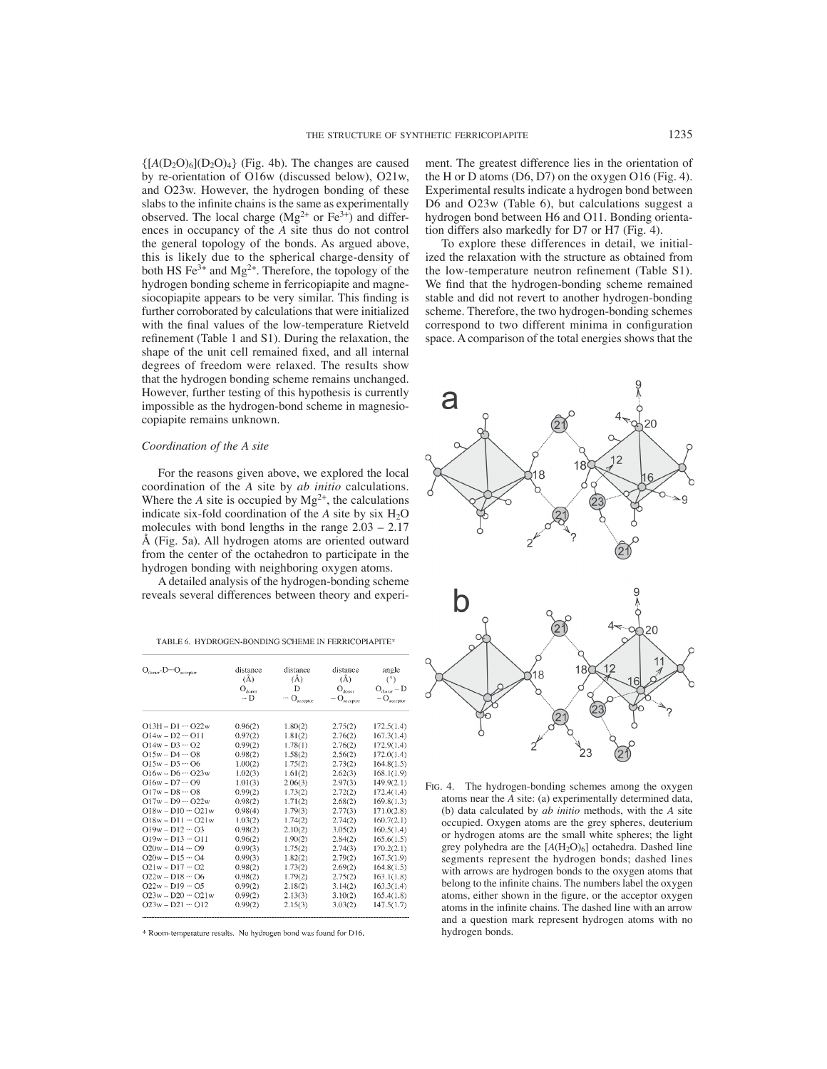$\{[A(D_2O)_6](D_2O)_4\}$  (Fig. 4b). The changes are caused by re-orientation of O16w (discussed below), O21w, and O23w. However, the hydrogen bonding of these slabs to the infinite chains is the same as experimentally observed. The local charge  $(Mg^{2+}$  or  $Fe^{3+})$  and differences in occupancy of the *A* site thus do not control the general topology of the bonds. As argued above, this is likely due to the spherical charge-density of both HS Fe<sup>3+</sup> and Mg<sup>2+</sup>. Therefore, the topology of the hydrogen bonding scheme in ferricopiapite and magnesiocopiapite appears to be very similar. This finding is further corroborated by calculations that were initialized with the final values of the low-temperature Rietveld refinement (Table 1 and S1). During the relaxation, the shape of the unit cell remained fixed, and all internal degrees of freedom were relaxed. The results show that the hydrogen bonding scheme remains unchanged. However, further testing of this hypothesis is currently impossible as the hydrogen-bond scheme in magnesiocopiapite remains unknown.

## *Coordination of the A site*

For the reasons given above, we explored the local coordination of the *A* site by *ab initio* calculations. Where the *A* site is occupied by  $Mg^{2+}$ , the calculations indicate six-fold coordination of the  $A$  site by six  $H_2O$ molecules with bond lengths in the range 2.03 – 2.17 Å (Fig. 5a). All hydrogen atoms are oriented outward from the center of the octahedron to participate in the hydrogen bonding with neighboring oxygen atoms.

A detailed analysis of the hydrogen-bonding scheme reveals several differences between theory and experi-

TABLE 6. HYDROGEN-BONDING SCHEME IN FERRICOPIAPITE\*

| $O_{donor}$ - $D \cdots O_{accepior}$ | distance<br>(Å)           | distance<br>(Å) | distance<br>(Å)            | angle                     |
|---------------------------------------|---------------------------|-----------------|----------------------------|---------------------------|
|                                       | $\mathbf{O}_\text{donor}$ | Ð               | $\mathbf{O}_{\text{down}}$ | (°)<br>$O_{dust} - D$     |
|                                       | $- D$                     | $\cdots$ O $\,$ | $-$ O <sub>acceptor</sub>  | $-$ O <sub>acceptor</sub> |
| $O13H - D1 - O22w$                    | 0.96(2)                   | 1.80(2)         | 2.75(2)                    | 172.5(1.4)                |
| $O14w - D2 - O11$                     | 0.97(2)                   | 1.81(2)         | 2.76(2)                    | 167.3(1.4)                |
| $014w - D3 - 02$                      | 0.99(2)                   | 1.78(1)         | 2.76(2)                    | 172.9(1.4)                |
| $O15w - D4 - O8$                      | 0.98(2)                   | 1.58(2)         | 2.56(2)                    | 172.0(1.4)                |
| $O15w - D5 - 06$                      | 1.00(2)                   | 1.75(2)         | 2.73(2)                    | 164.8(1.5)                |
| $O16w - D6 - O23w$                    | 1.02(3)                   | 1.61(2)         | 2.62(3)                    | 168.1(1.9)                |
| $O16w - D7 - O9$                      | 1.01(3)                   | 2.06(3)         | 2.97(3)                    | 149.9(2.1)                |
| $Q17w - D8 - 08$                      | 0.99(2)                   | 1.73(2)         | 2.72(2)                    | 172.4(1.4)                |
| $O17w - D9 - O22w$                    | 0.98(2)                   | 1.71(2)         | 2.68(2)                    | 169.8(1.3)                |
| $O18w - D10 \cdots O21w$              | 0.98(4)                   | 1.79(3)         | 2.77(3)                    | 171.0(2.8)                |
| $O18w - D11 - O21w$                   | 1.03(2)                   | 1.74(2)         | 2.74(2)                    | 160.7(2.1)                |
| $O19w - D12 \cdots O3$                | 0.98(2)                   | 2,10(2)         | 3.05(2)                    | 160.5(1.4)                |
| $O19w - D13 - O11$                    | 0.96(2)                   | 1.90(2)         | 2.84(2)                    | 165.6(1.5)                |
| $O20w - D14 \cdots O9$                | 0.99(3)                   | 1.75(2)         | 2.74(3)                    | 170.2(2.1)                |
| $O20w - D15 \cdots O4$                | 0.99(3)                   | 1.82(2)         | 2.79(2)                    | 167.5(1.9)                |
| $O21w - D17 - O2$                     | 0.98(2)                   | 1.73(2)         | 2.69(2)                    | 164.8(1.5)                |
| $O22w - D18 - O6$                     | 0.98(2)                   | 1.79(2)         | 2.75(2)                    | 163.1(1.8)                |
| $O22w - D19 - O5$                     | 0.99(2)                   | 2.18(2)         | 3.14(2)                    | 163.3(1.4)                |
| $O23w - D20 - O21w$                   | 0.99(2)                   | 2.13(3)         | 3.10(2)                    | 165.4(1.8)                |
| $O23w - D21 - O12$                    | 0.99(2)                   | 2.15(3)         | 3.03(2)                    | 147.5(1.7)                |

\* Room-temperature results. No hydrogen bond was found for D16.

ment. The greatest difference lies in the orientation of the H or D atoms (D6, D7) on the oxygen O16 (Fig. 4). Experimental results indicate a hydrogen bond between D6 and O23w (Table 6), but calculations suggest a hydrogen bond between H6 and O11. Bonding orientation differs also markedly for D7 or H7 (Fig. 4).

To explore these differences in detail, we initialized the relaxation with the structure as obtained from the low-temperature neutron refinement (Table S1). We find that the hydrogen-bonding scheme remained stable and did not revert to another hydrogen-bonding scheme. Therefore, the two hydrogen-bonding schemes correspond to two different minima in configuration space. A comparison of the total energies shows that the



FIG. 4. The hydrogen-bonding schemes among the oxygen atoms near the *A* site: (a) experimentally determined data, (b) data calculated by *ab initio* methods, with the *A* site occupied. Oxygen atoms are the grey spheres, deuterium or hydrogen atoms are the small white spheres; the light grey polyhedra are the  $[A(H_2O)_6]$  octahedra. Dashed line segments represent the hydrogen bonds; dashed lines with arrows are hydrogen bonds to the oxygen atoms that belong to the infinite chains. The numbers label the oxygen atoms, either shown in the figure, or the acceptor oxygen atoms in the infinite chains. The dashed line with an arrow and a question mark represent hydrogen atoms with no hydrogen bonds.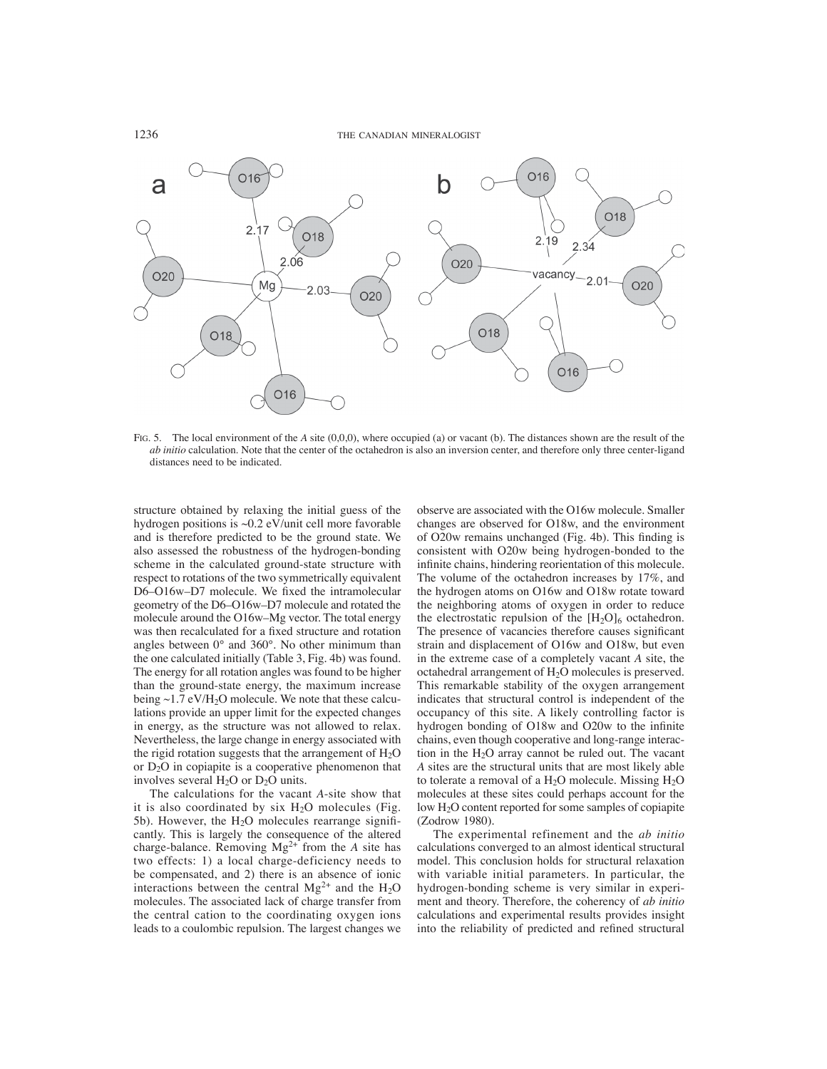

FIG. 5. The local environment of the *A* site (0,0,0), where occupied (a) or vacant (b). The distances shown are the result of the *ab initio* calculation. Note that the center of the octahedron is also an inversion center, and therefore only three center-ligand distances need to be indicated.

structure obtained by relaxing the initial guess of the hydrogen positions is ~0.2 eV/unit cell more favorable and is therefore predicted to be the ground state. We also assessed the robustness of the hydrogen-bonding scheme in the calculated ground-state structure with respect to rotations of the two symmetrically equivalent D6–O16w–D7 molecule. We fixed the intramolecular geometry of the D6–O16w–D7 molecule and rotated the molecule around the O16w–Mg vector. The total energy was then recalculated for a fixed structure and rotation angles between 0° and 360°. No other minimum than the one calculated initially (Table 3, Fig. 4b) was found. The energy for all rotation angles was found to be higher than the ground-state energy, the maximum increase being  $\sim$ 1.7 eV/H<sub>2</sub>O molecule. We note that these calculations provide an upper limit for the expected changes in energy, as the structure was not allowed to relax. Nevertheless, the large change in energy associated with the rigid rotation suggests that the arrangement of  $H_2O$ or  $D_2O$  in copiapite is a cooperative phenomenon that involves several  $H_2O$  or  $D_2O$  units.

The calculations for the vacant *A*-site show that it is also coordinated by six  $H<sub>2</sub>O$  molecules (Fig. 5b). However, the  $H<sub>2</sub>O$  molecules rearrange significantly. This is largely the consequence of the altered charge-balance. Removing  $Mg^{2+}$  from the *A* site has two effects: 1) a local charge-deficiency needs to be compensated, and 2) there is an absence of ionic interactions between the central  $Mg^{2+}$  and the H<sub>2</sub>O molecules. The associated lack of charge transfer from the central cation to the coordinating oxygen ions leads to a coulombic repulsion. The largest changes we observe are associated with the O16w molecule. Smaller changes are observed for O18w, and the environment of O20w remains unchanged (Fig. 4b). This finding is consistent with O20w being hydrogen-bonded to the infinite chains, hindering reorientation of this molecule. The volume of the octahedron increases by 17%, and the hydrogen atoms on O16w and O18w rotate toward the neighboring atoms of oxygen in order to reduce the electrostatic repulsion of the  $[H_2O]_6$  octahedron. The presence of vacancies therefore causes significant strain and displacement of O16w and O18w, but even in the extreme case of a completely vacant *A* site, the octahedral arrangement of  $H_2O$  molecules is preserved. This remarkable stability of the oxygen arrangement indicates that structural control is independent of the occupancy of this site. A likely controlling factor is hydrogen bonding of O18w and O20w to the infinite chains, even though cooperative and long-range interaction in the H2O array cannot be ruled out. The vacant *A* sites are the structural units that are most likely able to tolerate a removal of a  $H_2O$  molecule. Missing  $H_2O$ molecules at these sites could perhaps account for the low H2O content reported for some samples of copiapite (Zodrow 1980).

The experimental refinement and the *ab initio* calculations converged to an almost identical structural model. This conclusion holds for structural relaxation with variable initial parameters. In particular, the hydrogen-bonding scheme is very similar in experiment and theory. Therefore, the coherency of *ab initio* calculations and experimental results provides insight into the reliability of predicted and refined structural